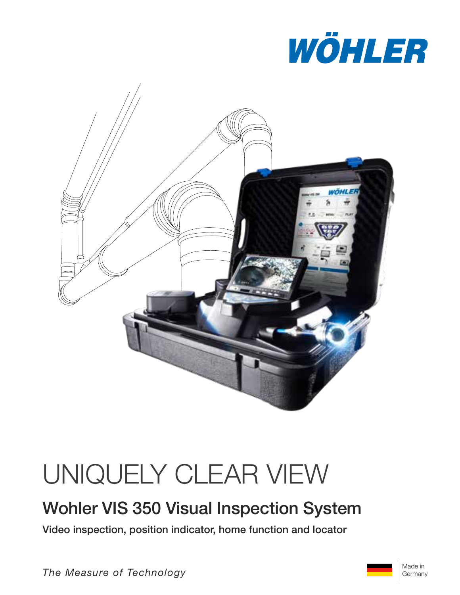



# UNIQUELY CLEAR VIEW

## Wohler VIS 350 Visual Inspection System

Video inspection, position indicator, home function and locator

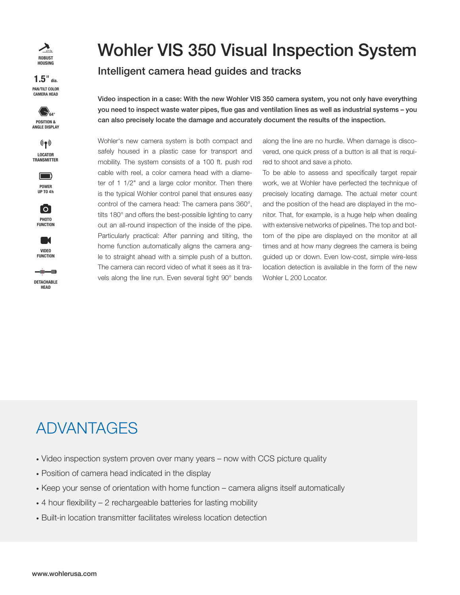

**CAMERA HEAD PAN /TILT COLOR 1.5**" **dia.**













## Wohler VIS 350 Visual Inspection System

## Intelligent camera head guides and tracks

Video inspection in a case: With the new Wohler VIS 350 camera system, you not only have everything you need to inspect waste water pipes, flue gas and ventilation lines as well as industrial systems – you can also precisely locate the damage and accurately document the results of the inspection.

Wohler's new camera system is both compact and safely housed in a plastic case for transport and mobility. The system consists of a 100 ft. push rod cable with reel, a color camera head with a diameter of 1 1/2" and a large color monitor. Then there is the typical Wohler control panel that ensures easy control of the camera head: The camera pans 360°, tilts 180° and offers the best-possible lighting to carry out an all-round inspection of the inside of the pipe. Particularly practical: After panning and tilting, the home function automatically aligns the camera angle to straight ahead with a simple push of a button. The camera can record video of what it sees as it travels along the line run. Even several tight 90° bends

along the line are no hurdle. When damage is discovered, one quick press of a button is all that is required to shoot and save a photo.

To be able to assess and specifically target repair work, we at Wohler have perfected the technique of precisely locating damage. The actual meter count and the position of the head are displayed in the monitor. That, for example, is a huge help when dealing with extensive networks of pipelines. The top and bottom of the pipe are displayed on the monitor at all times and at how many degrees the camera is being guided up or down. Even low-cost, simple wire-less location detection is available in the form of the new Wohler L 200 Locator.

## ADVANTAGES

- · Video inspection system proven over many years now with CCS picture quality
- · Position of camera head indicated in the display
- · Keep your sense of orientation with home function camera aligns itself automatically
- $\cdot$  4 hour flexibility 2 rechargeable batteries for lasting mobility
- · Built-in location transmitter facilitates wireless location detection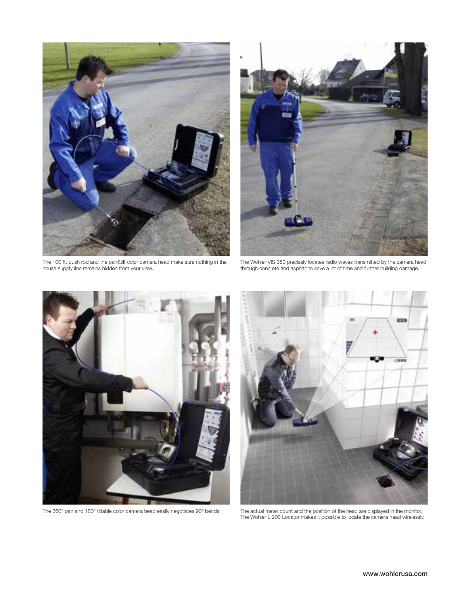

The 100 ft. push rod and the pan&tilt color camera head make sure nothing in the house supply line remains hidden from your view.



The Wohler VIS 350 precisely locates radio waves transmitted by the camera head through concrete and asphalt to save a lot of time and further building damage.





The 360° pan and 180° tiltable color camera head easily negotiates 90° bends. The actual meter count and the position of the head are displayed in the monitor. The Wohler L 200 Locator makes it possible to locate the camera head wirelessly.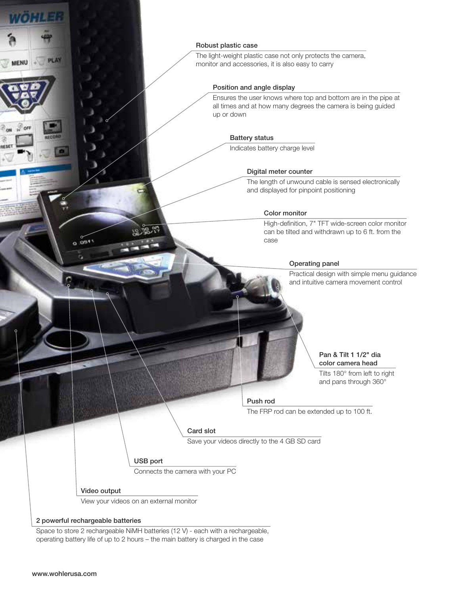#### Robust plastic case

The light-weight plastic case not only protects the camera, monitor and accessories, it is also easy to carry

#### Position and angle display

Ensures the user knows where top and bottom are in the pipe at all times and at how many degrees the camera is being guided up or down

#### Battery status

Indicates battery charge level

#### Digital meter counter

The length of unwound cable is sensed electronically and displayed for pinpoint positioning

#### Color monitor

High-definition, 7" TFT wide-screen color monitor can be tilted and withdrawn up to 6 ft. from the case

#### Operating panel

Practical design with simple menu guidance and intuitive camera movement control

#### Pan & Tilt 1 1/2" dia color camera head

Tilts 180° from left to right and pans through 360°

#### Push rod

The FRP rod can be extended up to 100 ft.

#### Card slot

Save your videos directly to the 4 GB SD card

#### USB port

Connects the camera with your PC

#### Video output

View your videos on an external monitor

#### 2 powerful rechargeable batteries

 $0.0811$ 

Space to store 2 rechargeable NiMH batteries (12 V) - each with a rechargeable, operating battery life of up to 2 hours – the main battery is charged in the case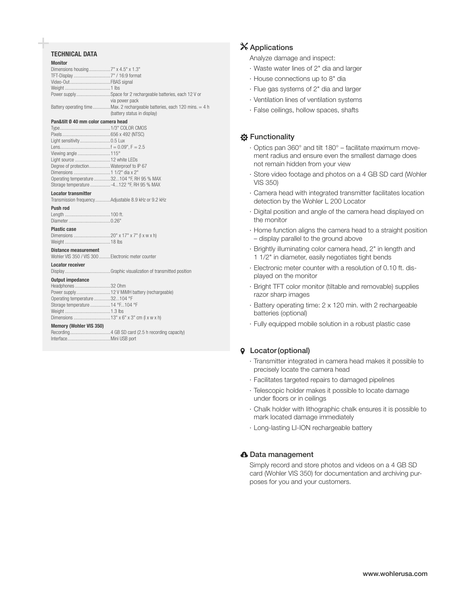#### **TECHNICAL DATA**

| <b>Monito</b> |  |  |  |
|---------------|--|--|--|
|               |  |  |  |

| <b>Monitor</b>       |                                                                                                          |
|----------------------|----------------------------------------------------------------------------------------------------------|
|                      |                                                                                                          |
|                      |                                                                                                          |
| Video-OutFBAS signal |                                                                                                          |
|                      |                                                                                                          |
|                      | Power supplySpace for 2 rechargeable batteries, each 12 V or<br>via power pack                           |
|                      | Battery operating timeMax. 2 rechargeable batteries, each 120 mins. = 4 h<br>(battery status in display) |

#### Pan&tilt Ø 40 mm color camera head

| Light sensitivity 0.5 Lux                   |  |
|---------------------------------------------|--|
|                                             |  |
| Viewing angle 115°                          |  |
| Light source  12 white LEDs                 |  |
| Degree of protectionWaterproof to IP 67     |  |
|                                             |  |
| Operating temperature 32104 °F, RH 95 % MAX |  |
| Storage temperature -4122 °F, RH 95 % MAX   |  |

#### **Locator transmitter**

|  | Transmission frequencyAdjustable 8.9 kHz or 9.2 kHz |  |  |
|--|-----------------------------------------------------|--|--|
|  |                                                     |  |  |

#### Push rod Length ...... Diameter

|  |  |  |  |  |  |  |  |  |  |  |  |  |  |  |  | 0.25 |  |  |
|--|--|--|--|--|--|--|--|--|--|--|--|--|--|--|--|------|--|--|

#### **Plastic case**

#### **Distance measurement**

| Wohler VIS 350 / VIS 300  Electronic meter counter |  |  |  |  |  |
|----------------------------------------------------|--|--|--|--|--|
| .                                                  |  |  |  |  |  |

### Locator receiver

| <b>Memory (Wohler VIS 350)</b>   |  |
|----------------------------------|--|
|                                  |  |
|                                  |  |
| Storage temperature  14 °F104 °F |  |
| Operating temperature 32104 °F   |  |
|                                  |  |
| Headphones 32 Ohm                |  |
| <b>Output impedance</b>          |  |
|                                  |  |

..4 GB SD card (2.5 h recording capacity) Recording........ Interface. .. Mini USB port

### X Applications

Analyze damage and inspect:

- · Waste water lines of 2" dia and larger
- · House connections up to 8" dia
- · Flue gas systems of 2" dia and larger
- · Ventilation lines of ventilation systems
- · False ceilings, hollow spaces, shafts

#### **☆ Functionality**

- · Optics pan 360° and tilt 180° facilitate maximum movement radius and ensure even the smallest damage does not remain hidden from your view
- · Store video footage and photos on a 4 GB SD card (Wohler **VIS 350)**
- · Camera head with integrated transmitter facilitates location detection by the Wohler L 200 Locator
- · Digital position and angle of the camera head displayed on the monitor
- · Home function aligns the camera head to a straight position - display parallel to the ground above
- · Brightly illuminating color camera head, 2" in length and 1 1/2" in diameter, easily negotiates tight bends
- · Electronic meter counter with a resolution of 0.10 ft. displayed on the monitor
- · Bright TFT color monitor (tiltable and removable) supplies razor sharp images
- · Battery operating time: 2 x 120 min. with 2 rechargeable batteries (optional)
- · Fully equipped mobile solution in a robust plastic case

#### **9** Locator (optional)

- · Transmitter integrated in camera head makes it possible to precisely locate the camera head
- · Facilitates targeted repairs to damaged pipelines
- · Telescopic holder makes it possible to locate damage under floors or in ceilings
- · Chalk holder with lithographic chalk ensures it is possible to mark located damage immediately
- · Long-lasting LI-ION rechargeable battery

#### **A** Data management

Simply record and store photos and videos on a 4 GB SD card (Wohler VIS 350) for documentation and archiving purposes for you and your customers.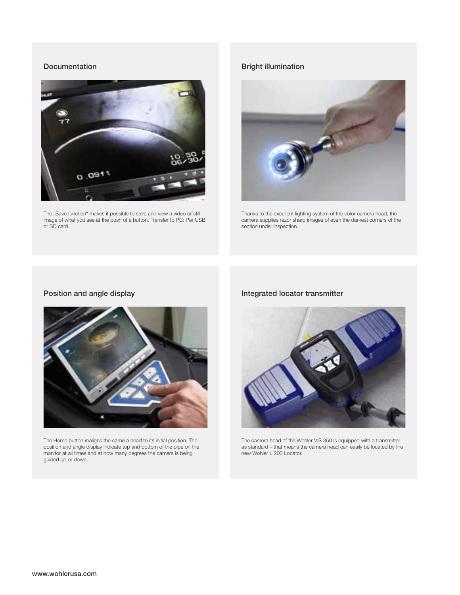#### Documentation



The "Save function" makes it possible to save and view a video or still image of what you see at the push of a button. Transfer to PC: Per USB or SD card.

### Bright illumination



Thanks to the excellent lighting system of the color camera head, the camera supplies razor sharp images of even the darkest corners of the section under inspection.

### Position and angle display



The Home button realigns the camera head to its initial position. The position and angle display indicate top and bottom of the pipe on the monitor at all times and at how many degrees the camera is being guided up or down.

### Integrated locator transmitter



The camera head of the Wohler VIS 350 is equipped with a transmitter as standard – that means the camera head can easily be located by the new Wohler L 200 Locator.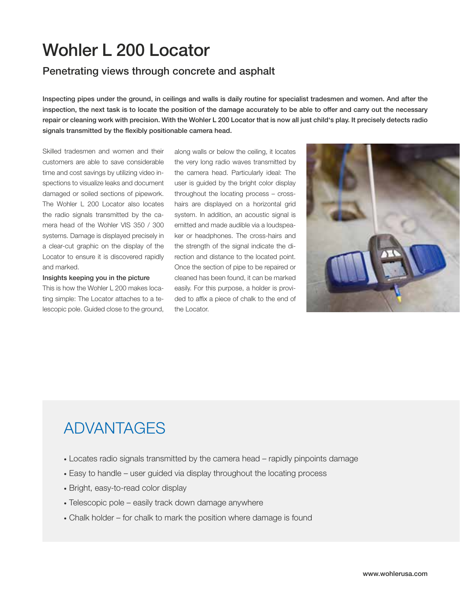## Wohler L 200 Locator

### Penetrating views through concrete and asphalt

Inspecting pipes under the ground, in ceilings and walls is daily routine for specialist tradesmen and women. And after the inspection, the next task is to locate the position of the damage accurately to be able to offer and carry out the necessary repair or cleaning work with precision. With the Wohler L 200 Locator that is now all just child's play. It precisely detects radio signals transmitted by the flexibly positionable camera head.

Skilled tradesmen and women and their customers are able to save considerable time and cost savings by utilizing video inspections to visualize leaks and document damaged or soiled sections of pipework. The Wohler L 200 Locator also locates the radio signals transmitted by the camera head of the Wohler VIS 350 / 300 systems. Damage is displayed precisely in a clear-cut graphic on the display of the Locator to ensure it is discovered rapidly and marked.

#### Insights keeping you in the picture

This is how the Wohler L 200 makes locating simple: The Locator attaches to a telescopic pole. Guided close to the ground,

along walls or below the ceiling, it locates the very long radio waves transmitted by the camera head. Particularly ideal: The user is guided by the bright color display throughout the locating process – crosshairs are displayed on a horizontal grid system. In addition, an acoustic signal is emitted and made audible via a loudspeaker or headphones. The cross-hairs and the strength of the signal indicate the direction and distance to the located point. Once the section of pipe to be repaired or cleaned has been found, it can be marked easily. For this purpose, a holder is provided to affix a piece of chalk to the end of the Locator.



## ADVANTAGES

- · Locates radio signals transmitted by the camera head rapidly pinpoints damage
- · Easy to handle user guided via display throughout the locating process
- · Bright, easy-to-read color display
- · Telescopic pole easily track down damage anywhere
- · Chalk holder for chalk to mark the position where damage is found